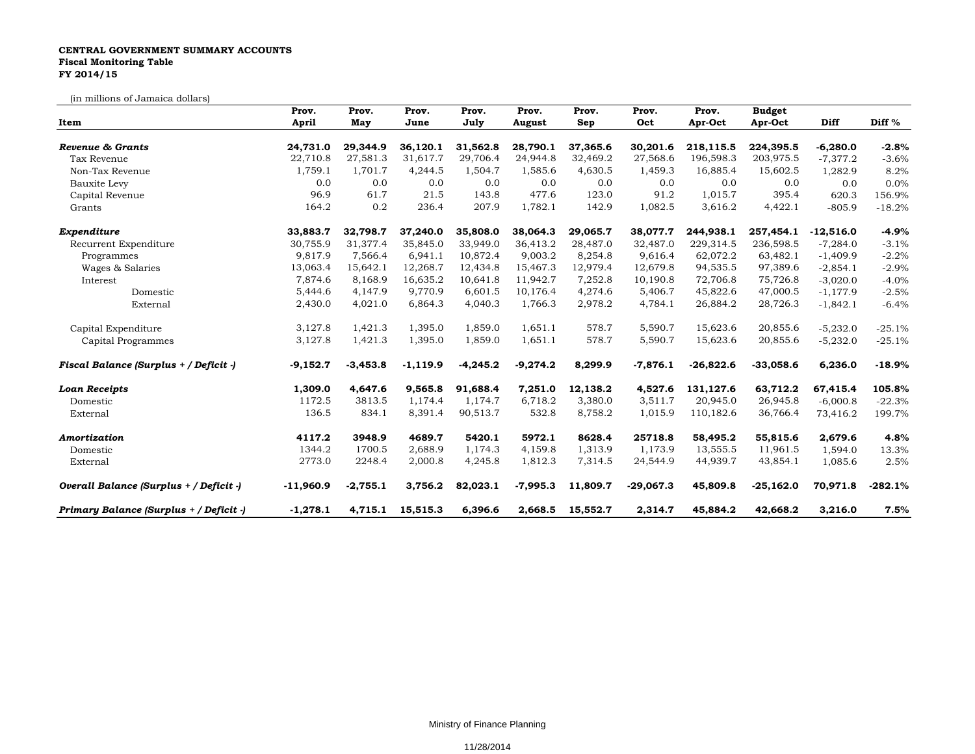## **CENTRAL GOVERNMENT SUMMARY ACCOUNTS Fiscal Monitoring Table FY 2014/15**

(in millions of Jamaica dollars)

| Item                                    | Prov.<br>April | Prov.<br>May | Prov.<br>June | Prov.<br>July | Prov.<br>August | Prov.<br>Sep | Prov.<br>Oct | Prov.<br>Apr-Oct | <b>Budget</b><br>Apr-Oct | Diff        | Diff %    |
|-----------------------------------------|----------------|--------------|---------------|---------------|-----------------|--------------|--------------|------------------|--------------------------|-------------|-----------|
|                                         |                |              |               |               |                 |              |              |                  |                          |             |           |
| Tax Revenue                             | 22,710.8       | 27,581.3     | 31,617.7      | 29,706.4      | 24,944.8        | 32,469.2     | 27,568.6     | 196,598.3        | 203,975.5                | $-7,377.2$  | $-3.6%$   |
| Non-Tax Revenue                         | 1,759.1        | 1,701.7      | 4,244.5       | 1,504.7       | 1,585.6         | 4,630.5      | 1,459.3      | 16,885.4         | 15,602.5                 | 1,282.9     | 8.2%      |
| Bauxite Levy                            | 0.0            | 0.0          | 0.0           | 0.0           | 0.0             | 0.0          | 0.0          | 0.0              | 0.0                      | 0.0         | 0.0%      |
| Capital Revenue                         | 96.9           | 61.7         | 21.5          | 143.8         | 477.6           | 123.0        | 91.2         | 1,015.7          | 395.4                    | 620.3       | 156.9%    |
| Grants                                  | 164.2          | 0.2          | 236.4         | 207.9         | 1,782.1         | 142.9        | 1,082.5      | 3,616.2          | 4,422.1                  | $-805.9$    | $-18.2%$  |
| Expenditure                             | 33,883.7       | 32,798.7     | 37,240.0      | 35,808.0      | 38,064.3        | 29,065.7     | 38,077.7     | 244,938.1        | 257,454.1                | $-12,516.0$ | $-4.9%$   |
| Recurrent Expenditure                   | 30,755.9       | 31,377.4     | 35,845.0      | 33,949.0      | 36,413.2        | 28,487.0     | 32,487.0     | 229,314.5        | 236,598.5                | $-7,284.0$  | $-3.1%$   |
| Programmes                              | 9,817.9        | 7,566.4      | 6,941.1       | 10,872.4      | 9,003.2         | 8,254.8      | 9,616.4      | 62,072.2         | 63,482.1                 | $-1,409.9$  | $-2.2%$   |
| Wages & Salaries                        | 13,063.4       | 15,642.1     | 12,268.7      | 12,434.8      | 15,467.3        | 12,979.4     | 12,679.8     | 94,535.5         | 97,389.6                 | $-2,854.1$  | $-2.9%$   |
| Interest                                | 7,874.6        | 8,168.9      | 16,635.2      | 10,641.8      | 11,942.7        | 7,252.8      | 10,190.8     | 72,706.8         | 75,726.8                 | $-3,020.0$  | $-4.0%$   |
| Domestic                                | 5,444.6        | 4,147.9      | 9,770.9       | 6,601.5       | 10,176.4        | 4,274.6      | 5,406.7      | 45,822.6         | 47,000.5                 | $-1,177.9$  | $-2.5%$   |
| External                                | 2,430.0        | 4,021.0      | 6,864.3       | 4,040.3       | 1,766.3         | 2,978.2      | 4,784.1      | 26,884.2         | 28,726.3                 | $-1,842.1$  | $-6.4%$   |
| Capital Expenditure                     | 3,127.8        | 1,421.3      | 1,395.0       | 1,859.0       | 1,651.1         | 578.7        | 5,590.7      | 15,623.6         | 20,855.6                 | $-5,232.0$  | $-25.1%$  |
| Capital Programmes                      | 3,127.8        | 1,421.3      | 1,395.0       | 1,859.0       | 1,651.1         | 578.7        | 5,590.7      | 15,623.6         | 20,855.6                 | $-5,232.0$  | $-25.1%$  |
| Fiscal Balance (Surplus + / Deficit -)  | $-9,152.7$     | $-3,453.8$   | $-1,119.9$    | $-4,245.2$    | $-9,274.2$      | 8,299.9      | $-7,876.1$   | $-26,822.6$      | $-33,058.6$              | 6,236.0     | $-18.9%$  |
| <b>Loan Receipts</b>                    | 1,309.0        | 4,647.6      | 9,565.8       | 91,688.4      | 7,251.0         | 12,138.2     | 4,527.6      | 131,127.6        | 63,712.2                 | 67,415.4    | 105.8%    |
| Domestic                                | 1172.5         | 3813.5       | 1,174.4       | 1,174.7       | 6,718.2         | 3,380.0      | 3,511.7      | 20,945.0         | 26,945.8                 | $-6,000.8$  | $-22.3%$  |
| External                                | 136.5          | 834.1        | 8,391.4       | 90,513.7      | 532.8           | 8,758.2      | 1,015.9      | 110,182.6        | 36,766.4                 | 73,416.2    | 199.7%    |
| Amortization                            | 4117.2         | 3948.9       | 4689.7        | 5420.1        | 5972.1          | 8628.4       | 25718.8      | 58,495.2         | 55,815.6                 | 2,679.6     | 4.8%      |
| Domestic                                | 1344.2         | 1700.5       | 2,688.9       | 1,174.3       | 4,159.8         | 1,313.9      | 1,173.9      | 13,555.5         | 11,961.5                 | 1,594.0     | 13.3%     |
| External                                | 2773.0         | 2248.4       | 2,000.8       | 4,245.8       | 1,812.3         | 7,314.5      | 24,544.9     | 44,939.7         | 43,854.1                 | 1,085.6     | 2.5%      |
| Overall Balance (Surplus + / Deficit -) | $-11,960.9$    | $-2,755.1$   | 3,756.2       | 82,023.1      | $-7,995.3$      | 11,809.7     | $-29,067.3$  | 45,809.8         | $-25,162.0$              | 70,971.8    | $-282.1%$ |
| Primary Balance (Surplus + / Deficit -) | $-1,278.1$     | 4,715.1      | 15,515.3      | 6,396.6       | 2,668.5         | 15,552.7     | 2,314.7      | 45,884.2         | 42,668.2                 | 3,216.0     | 7.5%      |